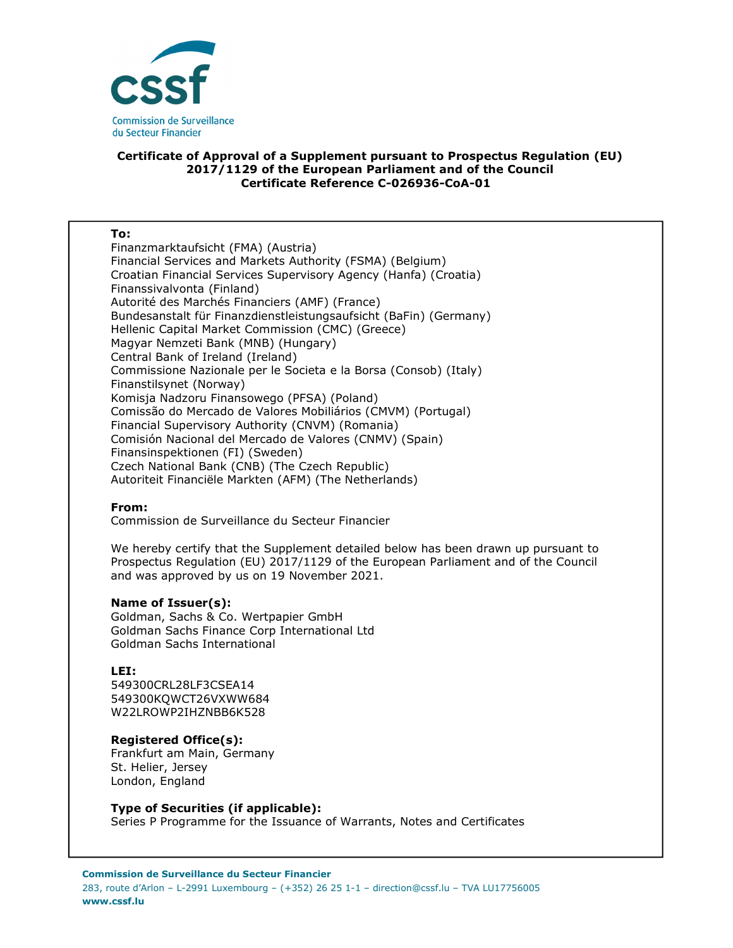

## **Certificate of Approval of a Supplement pursuant to Prospectus Regulation (EU) 2017/1129 of the European Parliament and of the Council Certificate Reference C-026936-CoA-01**

#### **To:**

Finanzmarktaufsicht (FMA) (Austria) Financial Services and Markets Authority (FSMA) (Belgium) Croatian Financial Services Supervisory Agency (Hanfa) (Croatia) Finanssivalvonta (Finland) Autorité des Marchés Financiers (AMF) (France) Bundesanstalt für Finanzdienstleistungsaufsicht (BaFin) (Germany) Hellenic Capital Market Commission (CMC) (Greece) Magyar Nemzeti Bank (MNB) (Hungary) Central Bank of Ireland (Ireland) Commissione Nazionale per le Societa e la Borsa (Consob) (Italy) Finanstilsynet (Norway) Komisja Nadzoru Finansowego (PFSA) (Poland) Comissão do Mercado de Valores Mobiliários (CMVM) (Portugal) Financial Supervisory Authority (CNVM) (Romania) Comisión Nacional del Mercado de Valores (CNMV) (Spain) Finansinspektionen (FI) (Sweden) Czech National Bank (CNB) (The Czech Republic) Autoriteit Financiële Markten (AFM) (The Netherlands)

### **From:**

Commission de Surveillance du Secteur Financier

We hereby certify that the Supplement detailed below has been drawn up pursuant to Prospectus Regulation (EU) 2017/1129 of the European Parliament and of the Council and was approved by us on 19 November 2021.

### **Name of Issuer(s):**

Goldman, Sachs & Co. Wertpapier GmbH Goldman Sachs Finance Corp International Ltd Goldman Sachs International

### **LEI:**

549300CRL28LF3CSEA14 549300KQWCT26VXWW684 W22LROWP2IHZNBB6K528

# **Registered Office(s):**

Frankfurt am Main, Germany St. Helier, Jersey London, England

### **Type of Securities (if applicable):**

Series P Programme for the Issuance of Warrants, Notes and Certificates